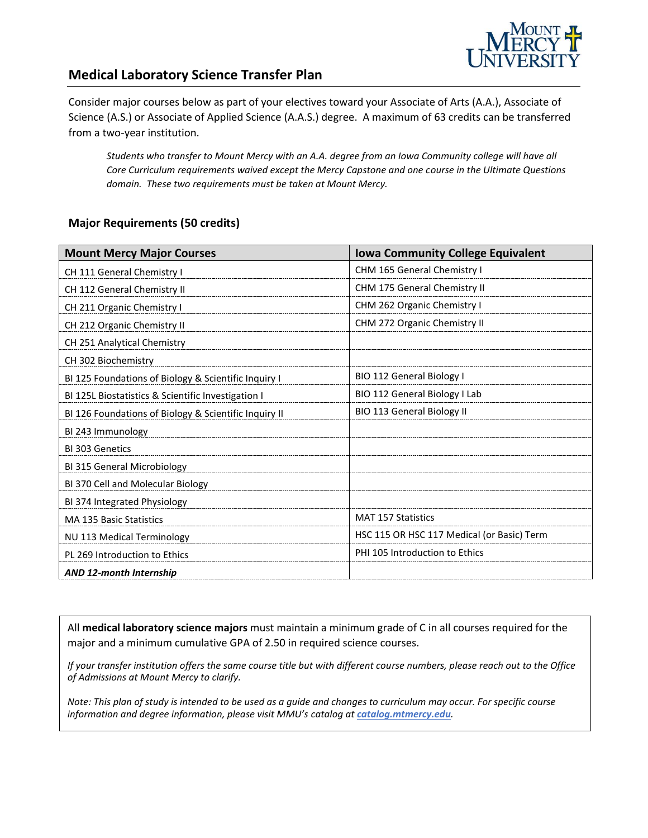

## **Medical Laboratory Science Transfer Plan**

Consider major courses below as part of your electives toward your Associate of Arts (A.A.), Associate of Science (A.S.) or Associate of Applied Science (A.A.S.) degree. A maximum of 63 credits can be transferred from a two-year institution.

*Students who transfer to Mount Mercy with an A.A. degree from an Iowa Community college will have all Core Curriculum requirements waived except the Mercy Capstone and one course in the Ultimate Questions domain. These two requirements must be taken at Mount Mercy.* 

#### **Major Requirements (50 credits)**

| <b>Mount Mercy Major Courses</b>                      | <b>Iowa Community College Equivalent</b>   |
|-------------------------------------------------------|--------------------------------------------|
| CH 111 General Chemistry I                            | CHM 165 General Chemistry I                |
| CH 112 General Chemistry II                           | <b>CHM 175 General Chemistry II</b>        |
| CH 211 Organic Chemistry I                            | CHM 262 Organic Chemistry I                |
| CH 212 Organic Chemistry II                           | CHM 272 Organic Chemistry II               |
| CH 251 Analytical Chemistry                           |                                            |
| CH 302 Biochemistry                                   |                                            |
| BI 125 Foundations of Biology & Scientific Inquiry I  | BIO 112 General Biology I                  |
| BI 125L Biostatistics & Scientific Investigation I    | BIO 112 General Biology I Lab              |
| BI 126 Foundations of Biology & Scientific Inquiry II | BIO 113 General Biology II                 |
| BI 243 Immunology                                     |                                            |
| BI 303 Genetics                                       |                                            |
| BI 315 General Microbiology                           |                                            |
| BI 370 Cell and Molecular Biology                     |                                            |
| BI 374 Integrated Physiology                          |                                            |
| <b>MA 135 Basic Statistics</b>                        | <b>MAT 157 Statistics</b>                  |
| NU 113 Medical Terminology                            | HSC 115 OR HSC 117 Medical (or Basic) Term |
| PL 269 Introduction to Ethics                         | PHI 105 Introduction to Ethics             |
| <b>AND 12-month Internship</b>                        |                                            |

All **medical laboratory science majors** must maintain a minimum grade of C in all courses required for the major and a minimum cumulative GPA of 2.50 in required science courses.

*If your transfer institution offers the same course title but with different course numbers, please reach out to the Office of Admissions at Mount Mercy to clarify.*

*Note: This plan of study is intended to be used as a guide and changes to curriculum may occur. For specific course information and degree information, please visit MMU's catalog at catalog.mtmercy.edu.*